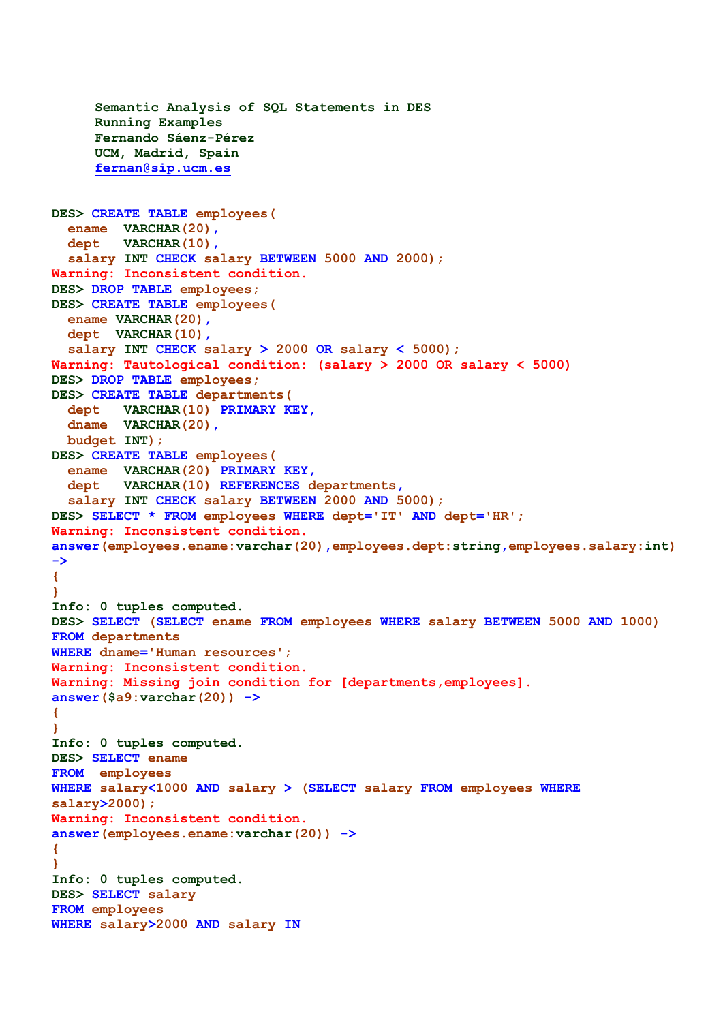```
Semantic Analysis of SQL Statements in DES
     Running Examples
     Fernando Sáenz-Pérez
     UCM, Madrid, Spain
     fernan@sip.ucm.es
DES> CREATE TABLE employees(
   ename VARCHAR(20),
   dept VARCHAR(10),
   salary INT CHECK salary BETWEEN 5000 AND 2000);
Warning: Inconsistent condition.
DES> DROP TABLE employees;
DES> CREATE TABLE employees(
   ename VARCHAR(20),
   dept VARCHAR(10),
   salary INT CHECK salary > 2000 OR salary < 5000);
Warning: Tautological condition: (salary > 2000 OR salary < 5000)
DES> DROP TABLE employees;
DES> CREATE TABLE departments(
   dept VARCHAR(10) PRIMARY KEY,
   dname VARCHAR(20),
  budget INT);
DES> CREATE TABLE employees(
   ename VARCHAR(20) PRIMARY KEY,
   dept VARCHAR(10) REFERENCES departments,
   salary INT CHECK salary BETWEEN 2000 AND 5000);
DES> SELECT * FROM employees WHERE dept='IT' AND dept='HR';
Warning: Inconsistent condition.
answer(employees.ename:varchar(20),employees.dept:string,employees.salary:int) 
->
{
}
Info: 0 tuples computed. 
DES> SELECT (SELECT ename FROM employees WHERE salary BETWEEN 5000 AND 1000) 
FROM departments 
WHERE dname='Human resources';
Warning: Inconsistent condition.
Warning: Missing join condition for [departments,employees].
answer($a9:varchar(20)) ->
{
}
Info: 0 tuples computed. 
DES> SELECT ename
FROM employees
WHERE salary<1000 AND salary > (SELECT salary FROM employees WHERE
salary>2000);
Warning: Inconsistent condition.
answer(employees.ename:varchar(20)) ->
{
}
Info: 0 tuples computed. 
DES> SELECT salary 
FROM employees 
WHERE salary>2000 AND salary IN
```